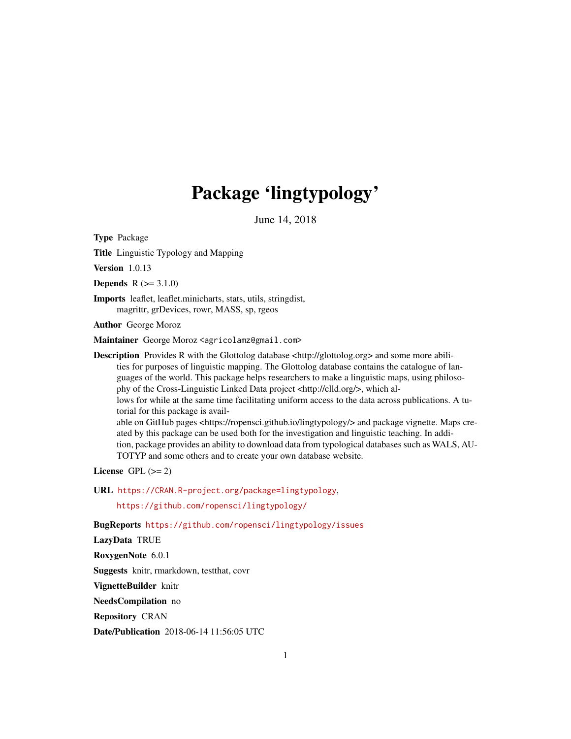# Package 'lingtypology'

June 14, 2018

<span id="page-0-0"></span>Type Package

Title Linguistic Typology and Mapping

**Version** 1.0.13

**Depends**  $R (= 3.1.0)$ 

Imports leaflet, leaflet.minicharts, stats, utils, stringdist, magrittr, grDevices, rowr, MASS, sp, rgeos

Author George Moroz

Maintainer George Moroz <agricolamz@gmail.com>

Description Provides R with the Glottolog database <http://glottolog.org> and some more abilities for purposes of linguistic mapping. The Glottolog database contains the catalogue of languages of the world. This package helps researchers to make a linguistic maps, using philosophy of the Cross-Linguistic Linked Data project <http://clld.org/>, which allows for while at the same time facilitating uniform access to the data across publications. A tutorial for this package is available on GitHub pages <https://ropensci.github.io/lingtypology/> and package vignette. Maps created by this package can be used both for the investigation and linguistic teaching. In addition, package provides an ability to download data from typological databases such as WALS, AU-TOTYP and some others and to create your own database website.

License GPL  $(>= 2)$ 

URL <https://CRAN.R-project.org/package=lingtypology>,

<https://github.com/ropensci/lingtypology/>

BugReports <https://github.com/ropensci/lingtypology/issues>

LazyData TRUE

RoxygenNote 6.0.1

Suggests knitr, rmarkdown, testthat, covr

VignetteBuilder knitr

NeedsCompilation no

Repository CRAN

Date/Publication 2018-06-14 11:56:05 UTC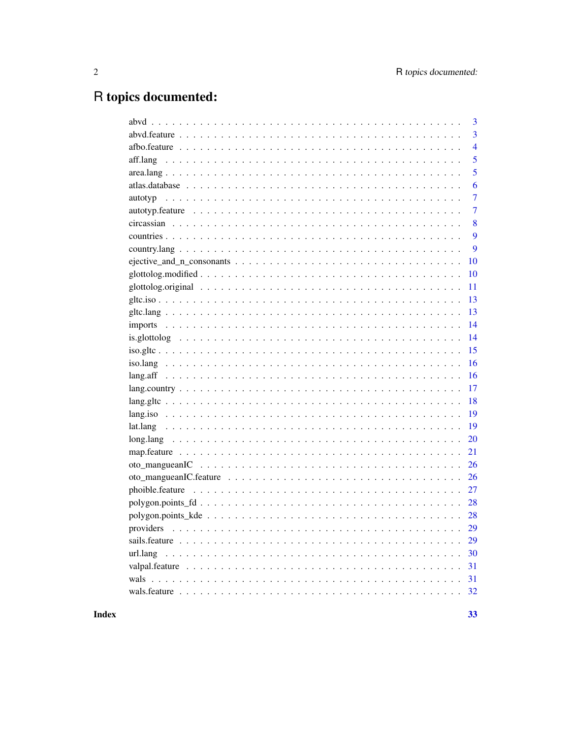33

## R topics documented:

| 3              |
|----------------|
| $\overline{3}$ |
| $\overline{4}$ |
| 5              |
| 5              |
| 6              |
| $\overline{7}$ |
| $\overline{7}$ |
| 8              |
| 9              |
| 9              |
| 10             |
| 10             |
| 11             |
| 13             |
| 13             |
| 14             |
| 14             |
| 15             |
| 16             |
| 16             |
| 17             |
| 18             |
| 19             |
| 19             |
| 20             |
| 21             |
| 26             |
| 26             |
| 27             |
| 28             |
| 28             |
| 29             |
| 29             |
| 30             |
| 31             |
| 31             |
|                |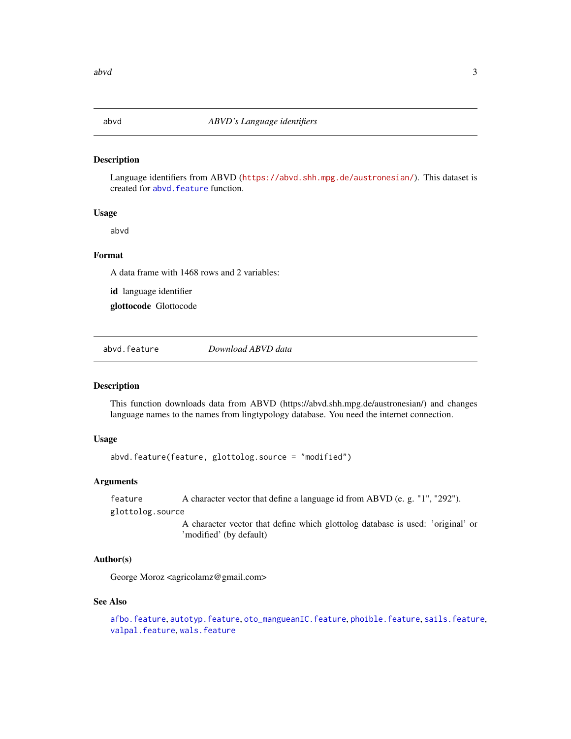<span id="page-2-0"></span>

Language identifiers from ABVD (<https://abvd.shh.mpg.de/austronesian/>). This dataset is created for abvd. feature function.

#### Usage

abvd

#### Format

A data frame with 1468 rows and 2 variables:

id language identifier

glottocode Glottocode

<span id="page-2-1"></span>abvd.feature *Download ABVD data*

#### Description

This function downloads data from ABVD (https://abvd.shh.mpg.de/austronesian/) and changes language names to the names from lingtypology database. You need the internet connection.

#### Usage

abvd.feature(feature, glottolog.source = "modified")

#### **Arguments**

feature A character vector that define a language id from ABVD (e. g. "1", "292").

glottolog.source

A character vector that define which glottolog database is used: 'original' or 'modified' (by default)

#### Author(s)

George Moroz <agricolamz@gmail.com>

#### See Also

[afbo.feature](#page-3-1), [autotyp.feature](#page-6-1), [oto\\_mangueanIC.feature](#page-25-1), [phoible.feature](#page-26-1), [sails.feature](#page-28-1), [valpal.feature](#page-30-1), [wals.feature](#page-31-1)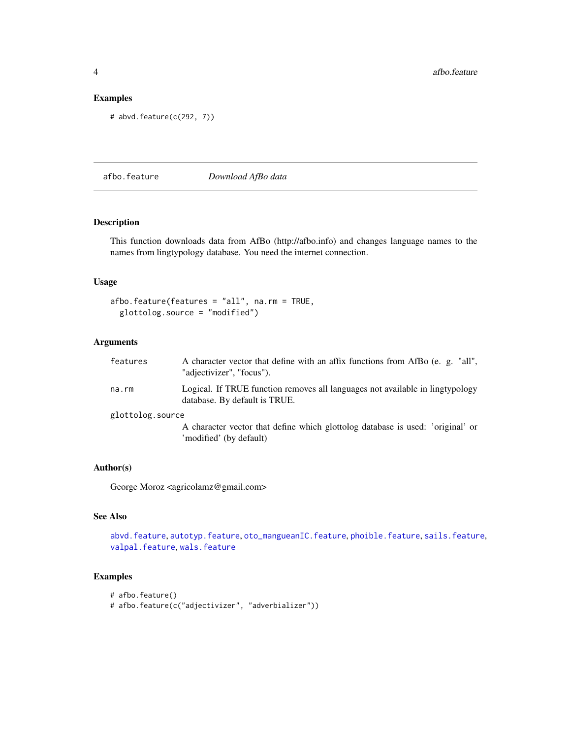#### Examples

```
# abvd.feature(c(292, 7))
```
<span id="page-3-1"></span>afbo.feature *Download AfBo data*

#### Description

This function downloads data from AfBo (http://afbo.info) and changes language names to the names from lingtypology database. You need the internet connection.

#### Usage

```
afbo.feature(features = "all", na.rm = TRUE,
 glottolog.source = "modified")
```
#### Arguments

| features         | A character vector that define with an affix functions from AfBo (e. g. "all",<br>"adjectivizer", "focus").    |
|------------------|----------------------------------------------------------------------------------------------------------------|
| na.rm            | Logical. If TRUE function removes all languages not available in lingtypology<br>database. By default is TRUE. |
| glottolog.source |                                                                                                                |
|                  | A character vector that define which glottolog database is used: 'original' or<br>'modified' (by default)      |

#### Author(s)

George Moroz <agricolamz@gmail.com>

#### See Also

[abvd.feature](#page-2-1), [autotyp.feature](#page-6-1), [oto\\_mangueanIC.feature](#page-25-1), [phoible.feature](#page-26-1), [sails.feature](#page-28-1), [valpal.feature](#page-30-1), [wals.feature](#page-31-1)

#### Examples

```
# afbo.feature()
# afbo.feature(c("adjectivizer", "adverbializer"))
```
<span id="page-3-0"></span>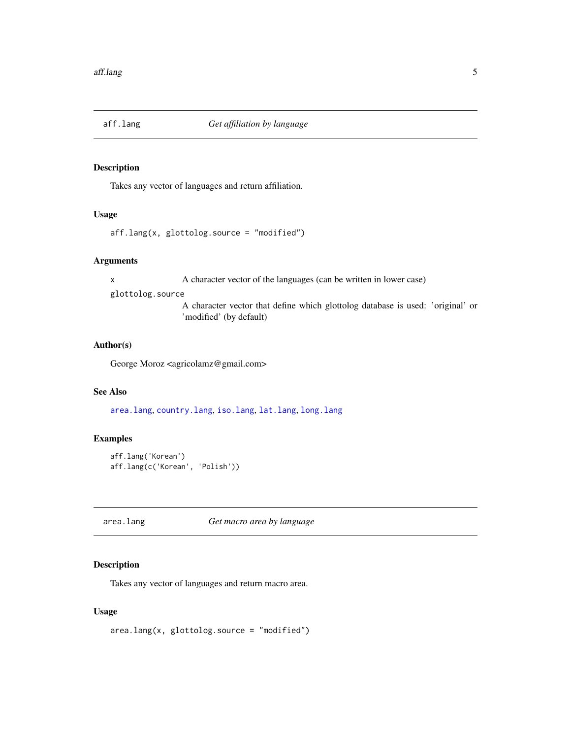<span id="page-4-2"></span><span id="page-4-0"></span>

Takes any vector of languages and return affiliation.

#### Usage

```
aff.lang(x, glottolog.source = "modified")
```
#### Arguments

x A character vector of the languages (can be written in lower case)

glottolog.source

A character vector that define which glottolog database is used: 'original' or 'modified' (by default)

#### Author(s)

George Moroz <agricolamz@gmail.com>

#### See Also

[area.lang](#page-4-1), [country.lang](#page-8-1), [iso.lang](#page-15-1), [lat.lang](#page-18-1), [long.lang](#page-19-1)

#### Examples

```
aff.lang('Korean')
aff.lang(c('Korean', 'Polish'))
```
<span id="page-4-1"></span>area.lang *Get macro area by language*

#### Description

Takes any vector of languages and return macro area.

#### Usage

area.lang(x, glottolog.source = "modified")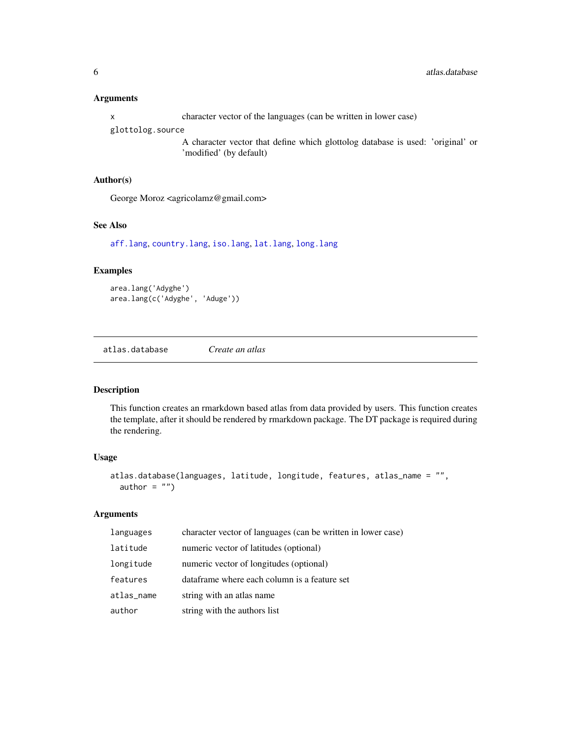#### <span id="page-5-0"></span>Arguments

x character vector of the languages (can be written in lower case)

glottolog.source

A character vector that define which glottolog database is used: 'original' or 'modified' (by default)

#### Author(s)

George Moroz <agricolamz@gmail.com>

#### See Also

[aff.lang](#page-4-2), [country.lang](#page-8-1), [iso.lang](#page-15-1), [lat.lang](#page-18-1), [long.lang](#page-19-1)

#### Examples

area.lang('Adyghe') area.lang(c('Adyghe', 'Aduge'))

atlas.database *Create an atlas*

#### Description

This function creates an rmarkdown based atlas from data provided by users. This function creates the template, after it should be rendered by rmarkdown package. The DT package is required during the rendering.

#### Usage

```
atlas.database(languages, latitude, longitude, features, atlas_name = "",
  author = "")
```
#### Arguments

| languages  | character vector of languages (can be written in lower case) |
|------------|--------------------------------------------------------------|
| latitude   | numeric vector of latitudes (optional)                       |
| longitude  | numeric vector of longitudes (optional)                      |
| features   | dataframe where each column is a feature set                 |
| atlas_name | string with an atlas name                                    |
| author     | string with the authors list                                 |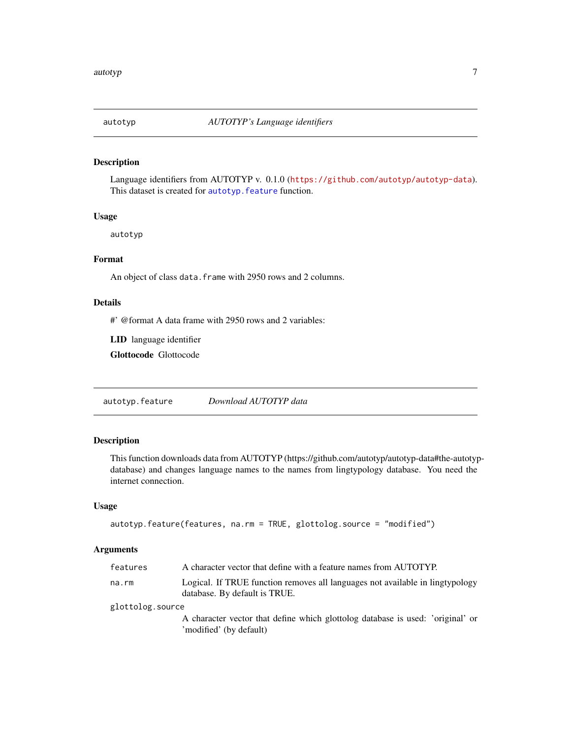<span id="page-6-0"></span>

Language identifiers from AUTOTYP v. 0.1.0 (<https://github.com/autotyp/autotyp-data>). This dataset is created for [autotyp.feature](#page-6-1) function.

#### Usage

autotyp

#### Format

An object of class data. frame with 2950 rows and 2 columns.

#### Details

#' @format A data frame with 2950 rows and 2 variables:

LID language identifier

Glottocode Glottocode

<span id="page-6-1"></span>autotyp.feature *Download AUTOTYP data*

#### Description

This function downloads data from AUTOTYP (https://github.com/autotyp/autotyp-data#the-autotypdatabase) and changes language names to the names from lingtypology database. You need the internet connection.

#### Usage

```
autotyp.feature(features, na.rm = TRUE, glottolog.source = "modified")
```
#### Arguments

| features         | A character vector that define with a feature names from AUTOTYP.                                              |
|------------------|----------------------------------------------------------------------------------------------------------------|
| na.rm            | Logical. If TRUE function removes all languages not available in lingtypology<br>database. By default is TRUE. |
| glottolog.source |                                                                                                                |
|                  | A character vector that define which glottolog database is used: 'original' or<br>'modified' (by default)      |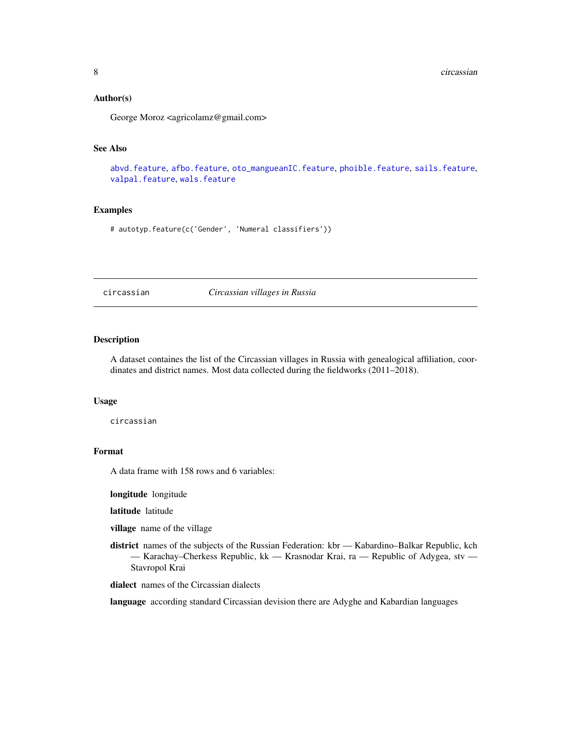#### <span id="page-7-0"></span>Author(s)

George Moroz <agricolamz@gmail.com>

#### See Also

[abvd.feature](#page-2-1), [afbo.feature](#page-3-1), [oto\\_mangueanIC.feature](#page-25-1), [phoible.feature](#page-26-1), [sails.feature](#page-28-1), [valpal.feature](#page-30-1), [wals.feature](#page-31-1)

#### Examples

# autotyp.feature(c('Gender', 'Numeral classifiers'))

circassian *Circassian villages in Russia*

#### Description

A dataset containes the list of the Circassian villages in Russia with genealogical affiliation, coordinates and district names. Most data collected during the fieldworks (2011–2018).

#### Usage

circassian

#### Format

A data frame with 158 rows and 6 variables:

longitude longitude

latitude latitude

village name of the village

district names of the subjects of the Russian Federation: kbr — Kabardino–Balkar Republic, kch — Karachay–Cherkess Republic, kk — Krasnodar Krai, ra — Republic of Adygea, stv — Stavropol Krai

dialect names of the Circassian dialects

language according standard Circassian devision there are Adyghe and Kabardian languages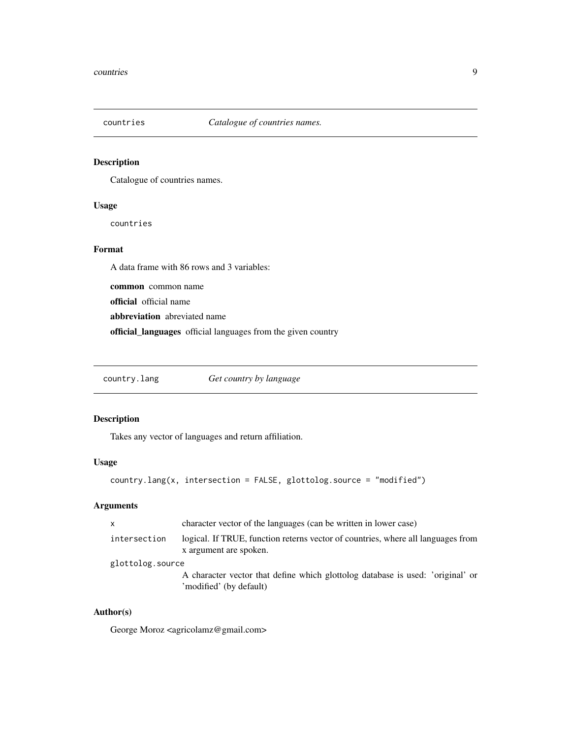<span id="page-8-0"></span>

Catalogue of countries names.

#### Usage

countries

#### Format

A data frame with 86 rows and 3 variables:

common common name

official official name

abbreviation abreviated name

official\_languages official languages from the given country

<span id="page-8-1"></span>country.lang *Get country by language*

#### Description

Takes any vector of languages and return affiliation.

#### Usage

country.lang(x, intersection = FALSE, glottolog.source = "modified")

#### Arguments

| x                | character vector of the languages (can be written in lower case)                                           |  |
|------------------|------------------------------------------------------------------------------------------------------------|--|
| intersection     | logical. If TRUE, function reterns vector of countries, where all languages from<br>x argument are spoken. |  |
| glottolog.source |                                                                                                            |  |
|                  | A character vector that define which glottolog database is used: 'original' or<br>'modified' (by default)  |  |

#### Author(s)

George Moroz <agricolamz@gmail.com>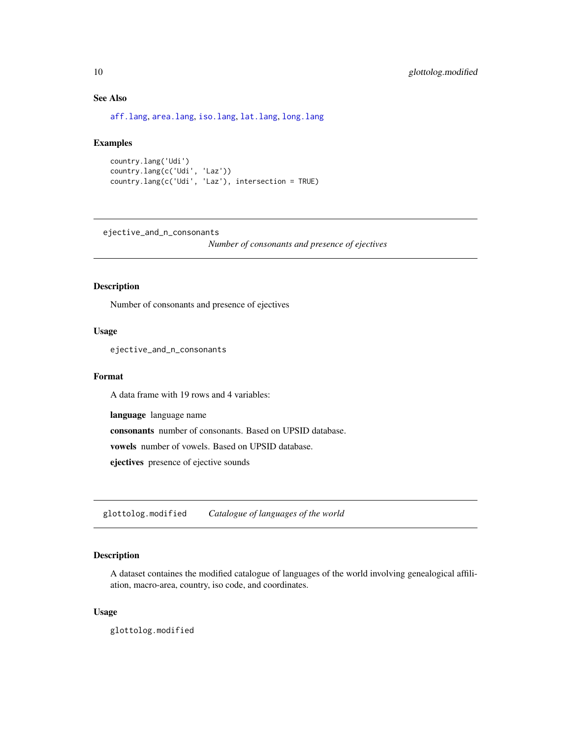#### See Also

[aff.lang](#page-4-2), [area.lang](#page-4-1), [iso.lang](#page-15-1), [lat.lang](#page-18-1), [long.lang](#page-19-1)

#### Examples

```
country.lang('Udi')
country.lang(c('Udi', 'Laz'))
country.lang(c('Udi', 'Laz'), intersection = TRUE)
```
ejective\_and\_n\_consonants

*Number of consonants and presence of ejectives*

#### Description

Number of consonants and presence of ejectives

#### Usage

ejective\_and\_n\_consonants

#### Format

A data frame with 19 rows and 4 variables:

language language name

consonants number of consonants. Based on UPSID database.

vowels number of vowels. Based on UPSID database.

ejectives presence of ejective sounds

glottolog.modified *Catalogue of languages of the world*

#### Description

A dataset containes the modified catalogue of languages of the world involving genealogical affiliation, macro-area, country, iso code, and coordinates.

#### Usage

glottolog.modified

<span id="page-9-0"></span>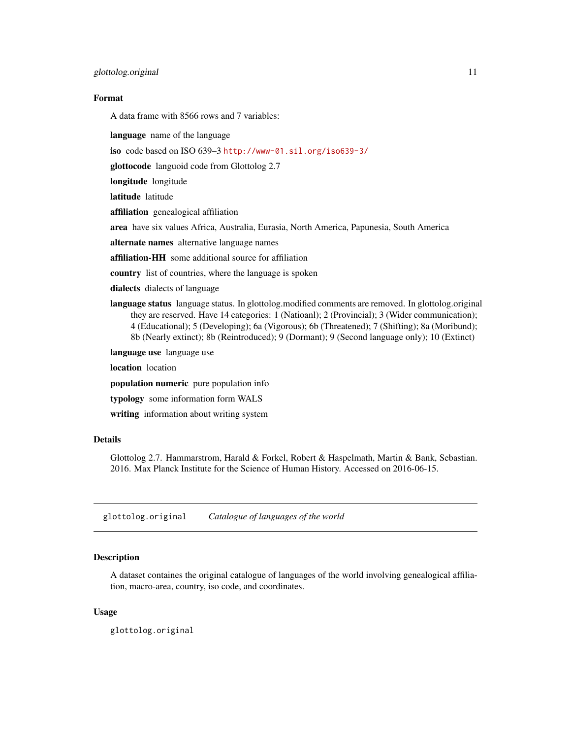#### <span id="page-10-0"></span>Format

A data frame with 8566 rows and 7 variables:

language name of the language

iso code based on ISO 639–3 <http://www-01.sil.org/iso639-3/>

glottocode languoid code from Glottolog 2.7

longitude longitude

latitude latitude

affiliation genealogical affiliation

area have six values Africa, Australia, Eurasia, North America, Papunesia, South America

alternate names alternative language names

affiliation-HH some additional source for affiliation

country list of countries, where the language is spoken

dialects dialects of language

language status language status. In glottolog.modified comments are removed. In glottolog.original they are reserved. Have 14 categories: 1 (Natioanl); 2 (Provincial); 3 (Wider communication); 4 (Educational); 5 (Developing); 6a (Vigorous); 6b (Threatened); 7 (Shifting); 8a (Moribund); 8b (Nearly extinct); 8b (Reintroduced); 9 (Dormant); 9 (Second language only); 10 (Extinct)

language use language use

location location

population numeric pure population info

typology some information form WALS

writing information about writing system

#### Details

Glottolog 2.7. Hammarstrom, Harald & Forkel, Robert & Haspelmath, Martin & Bank, Sebastian. 2016. Max Planck Institute for the Science of Human History. Accessed on 2016-06-15.

glottolog.original *Catalogue of languages of the world*

#### Description

A dataset containes the original catalogue of languages of the world involving genealogical affiliation, macro-area, country, iso code, and coordinates.

#### Usage

glottolog.original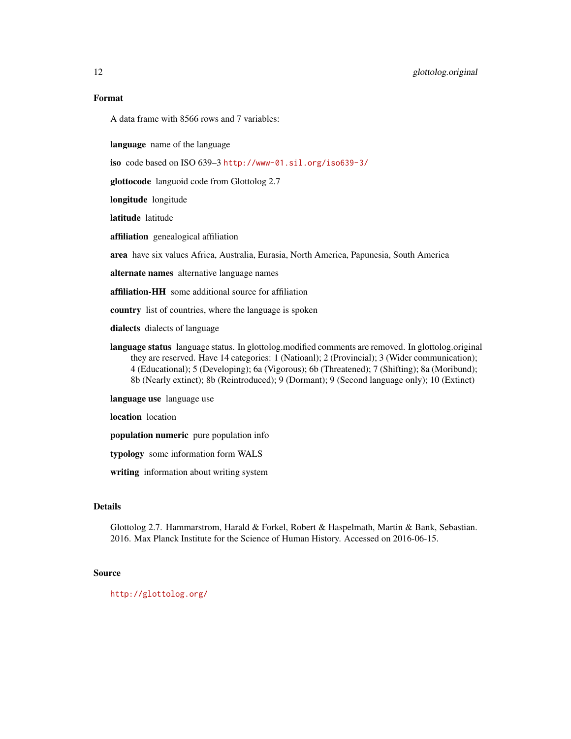A data frame with 8566 rows and 7 variables:

language name of the language

iso code based on ISO 639–3 <http://www-01.sil.org/iso639-3/>

glottocode languoid code from Glottolog 2.7

longitude longitude

latitude latitude

affiliation genealogical affiliation

area have six values Africa, Australia, Eurasia, North America, Papunesia, South America

alternate names alternative language names

affiliation-HH some additional source for affiliation

country list of countries, where the language is spoken

dialects dialects of language

language status language status. In glottolog.modified comments are removed. In glottolog.original they are reserved. Have 14 categories: 1 (Natioanl); 2 (Provincial); 3 (Wider communication); 4 (Educational); 5 (Developing); 6a (Vigorous); 6b (Threatened); 7 (Shifting); 8a (Moribund); 8b (Nearly extinct); 8b (Reintroduced); 9 (Dormant); 9 (Second language only); 10 (Extinct)

language use language use

location location

population numeric pure population info

typology some information form WALS

writing information about writing system

#### Details

Glottolog 2.7. Hammarstrom, Harald & Forkel, Robert & Haspelmath, Martin & Bank, Sebastian. 2016. Max Planck Institute for the Science of Human History. Accessed on 2016-06-15.

#### Source

<http://glottolog.org/>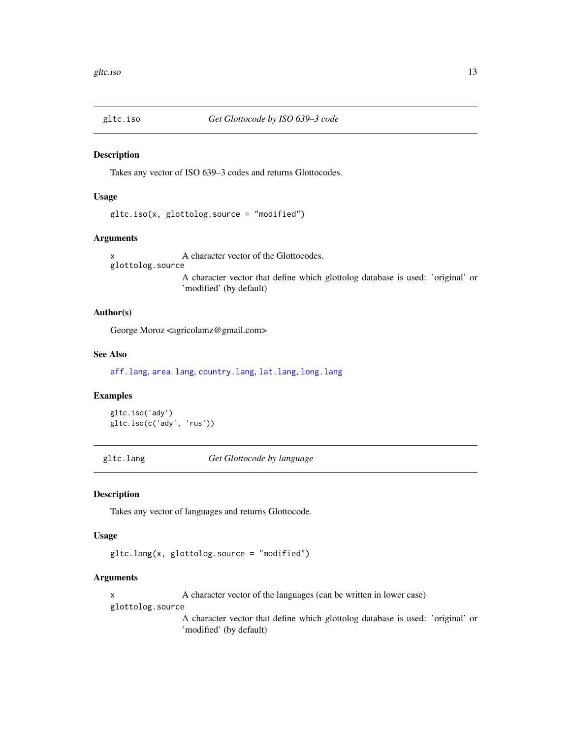<span id="page-12-0"></span>

Takes any vector of ISO 639–3 codes and returns Glottocodes.

#### Usage

gltc.iso(x, glottolog.source = "modified")

#### Arguments

x A character vector of the Glottocodes. glottolog.source A character vector that define which glottolog database is used: 'original' or 'modified' (by default)

#### Author(s)

George Moroz <agricolamz@gmail.com>

#### See Also

[aff.lang](#page-4-2), [area.lang](#page-4-1), [country.lang](#page-8-1), [lat.lang](#page-18-1), [long.lang](#page-19-1)

#### Examples

```
gltc.iso('ady')
gltc.iso(c('ady', 'rus'))
```
gltc.lang *Get Glottocode by language*

#### Description

Takes any vector of languages and returns Glottocode.

#### Usage

gltc.lang(x, glottolog.source = "modified")

#### Arguments

x A character vector of the languages (can be written in lower case) glottolog.source

> A character vector that define which glottolog database is used: 'original' or 'modified' (by default)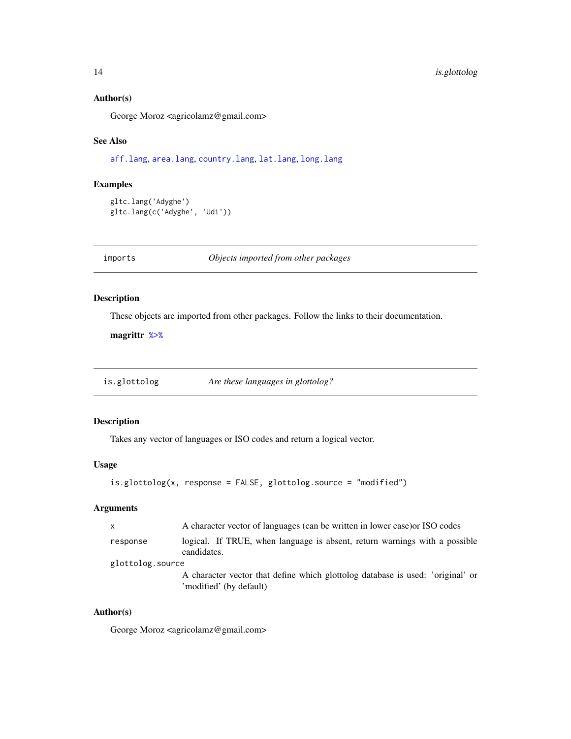#### Author(s)

George Moroz <agricolamz@gmail.com>

#### See Also

[aff.lang](#page-4-2), [area.lang](#page-4-1), [country.lang](#page-8-1), [lat.lang](#page-18-1), [long.lang](#page-19-1)

#### Examples

```
gltc.lang('Adyghe')
gltc.lang(c('Adyghe', 'Udi'))
```
imports *Objects imported from other packages*

#### <span id="page-13-1"></span>Description

These objects are imported from other packages. Follow the links to their documentation.

magrittr [%>%](#page-13-1)

is.glottolog *Are these languages in glottolog?*

#### Description

Takes any vector of languages or ISO codes and return a logical vector.

#### Usage

```
is.glottolog(x, response = FALSE, glottolog.source = "modified")
```
#### Arguments

| x                | A character vector of languages (can be written in lower case) or ISO codes                               |
|------------------|-----------------------------------------------------------------------------------------------------------|
| response         | logical. If TRUE, when language is absent, return warnings with a possible<br>candidates.                 |
| glottolog.source |                                                                                                           |
|                  | A character vector that define which glottolog database is used: 'original' or<br>'modified' (by default) |

#### Author(s)

George Moroz <agricolamz@gmail.com>

<span id="page-13-0"></span>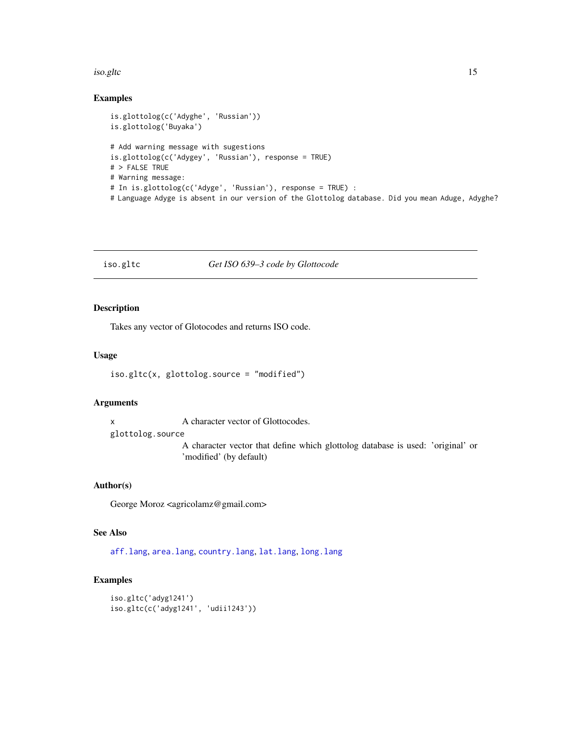#### <span id="page-14-0"></span>iso.gltc 15

#### Examples

```
is.glottolog(c('Adyghe', 'Russian'))
is.glottolog('Buyaka')
# Add warning message with sugestions
is.glottolog(c('Adygey', 'Russian'), response = TRUE)
# > FALSE TRUE
# Warning message:
# In is.glottolog(c('Adyge', 'Russian'), response = TRUE) :
# Language Adyge is absent in our version of the Glottolog database. Did you mean Aduge, Adyghe?
```
#### iso.gltc *Get ISO 639–3 code by Glottocode*

#### Description

Takes any vector of Glotocodes and returns ISO code.

#### Usage

```
iso.gltc(x, glottolog.source = "modified")
```
#### Arguments

x A character vector of Glottocodes.

glottolog.source

A character vector that define which glottolog database is used: 'original' or 'modified' (by default)

#### Author(s)

George Moroz <agricolamz@gmail.com>

#### See Also

[aff.lang](#page-4-2), [area.lang](#page-4-1), [country.lang](#page-8-1), [lat.lang](#page-18-1), [long.lang](#page-19-1)

#### Examples

```
iso.gltc('adyg1241')
iso.gltc(c('adyg1241', 'udii1243'))
```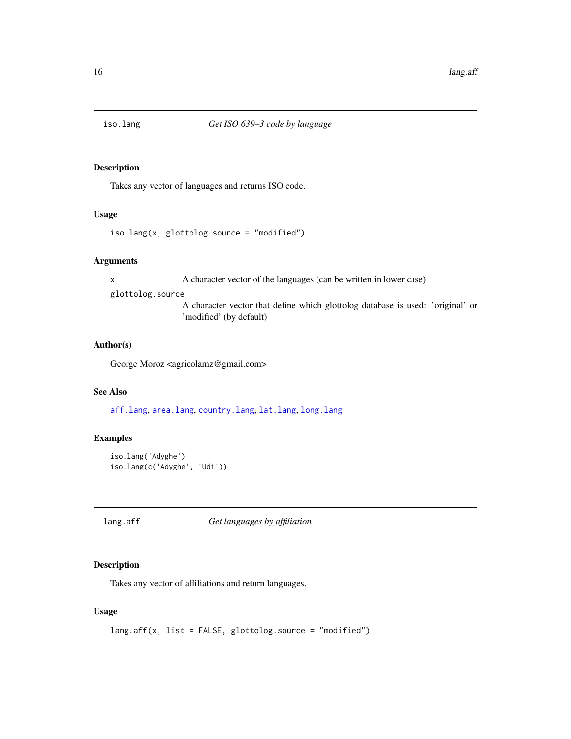<span id="page-15-1"></span><span id="page-15-0"></span>

Takes any vector of languages and returns ISO code.

#### Usage

```
iso.lang(x, glottolog.source = "modified")
```
#### Arguments

x A character vector of the languages (can be written in lower case)

glottolog.source

A character vector that define which glottolog database is used: 'original' or 'modified' (by default)

#### Author(s)

George Moroz <agricolamz@gmail.com>

#### See Also

[aff.lang](#page-4-2), [area.lang](#page-4-1), [country.lang](#page-8-1), [lat.lang](#page-18-1), [long.lang](#page-19-1)

#### Examples

```
iso.lang('Adyghe')
iso.lang(c('Adyghe', 'Udi'))
```
<span id="page-15-2"></span>

lang.aff *Get languages by affiliation*

#### Description

Takes any vector of affiliations and return languages.

#### Usage

```
lang.aff(x, list = FALSE, glottolog.source = "modified")
```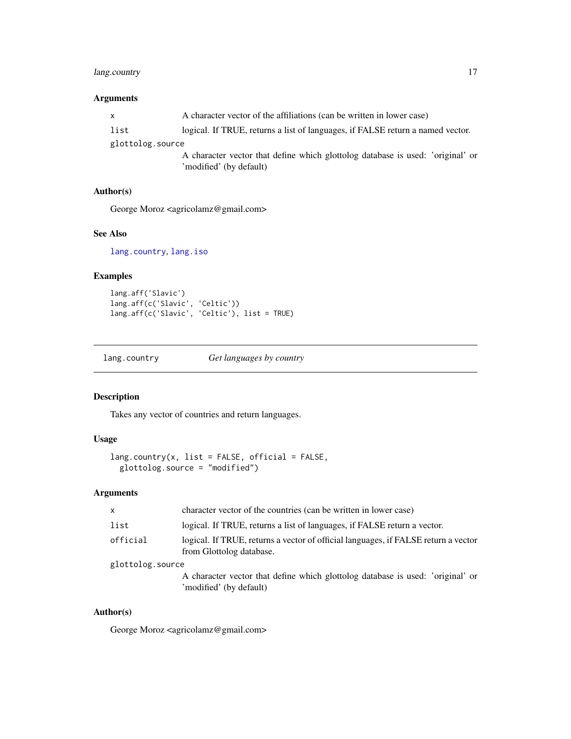#### <span id="page-16-0"></span>lang.country 17

#### Arguments

| $\mathsf{x}$     | A character vector of the affiliations (can be written in lower case)          |
|------------------|--------------------------------------------------------------------------------|
| list             | logical. If TRUE, returns a list of languages, if FALSE return a named vector. |
| glottolog.source |                                                                                |
|                  | A character vector that define which glottolog database is used: 'original' or |
|                  | 'modified' (by default)                                                        |

#### Author(s)

George Moroz <agricolamz@gmail.com>

#### See Also

[lang.country](#page-16-1), [lang.iso](#page-18-2)

#### Examples

lang.aff('Slavic') lang.aff(c('Slavic', 'Celtic')) lang.aff(c('Slavic', 'Celtic'), list = TRUE)

<span id="page-16-1"></span>lang.country *Get languages by country*

#### Description

Takes any vector of countries and return languages.

#### Usage

```
lang.country(x, list = FALSE, official = FALSE,
 glottolog.source = "modified")
```
#### Arguments

| $\mathsf{x}$     | character vector of the countries (can be written in lower case)                                               |
|------------------|----------------------------------------------------------------------------------------------------------------|
| list             | logical. If TRUE, returns a list of languages, if FALSE return a vector.                                       |
| official         | logical. If TRUE, returns a vector of official languages, if FALSE return a vector<br>from Glottolog database. |
| glottolog.source |                                                                                                                |
|                  | A character vector that define which glottolog database is used: 'original' or<br>'modified' (by default)      |

#### Author(s)

George Moroz <agricolamz@gmail.com>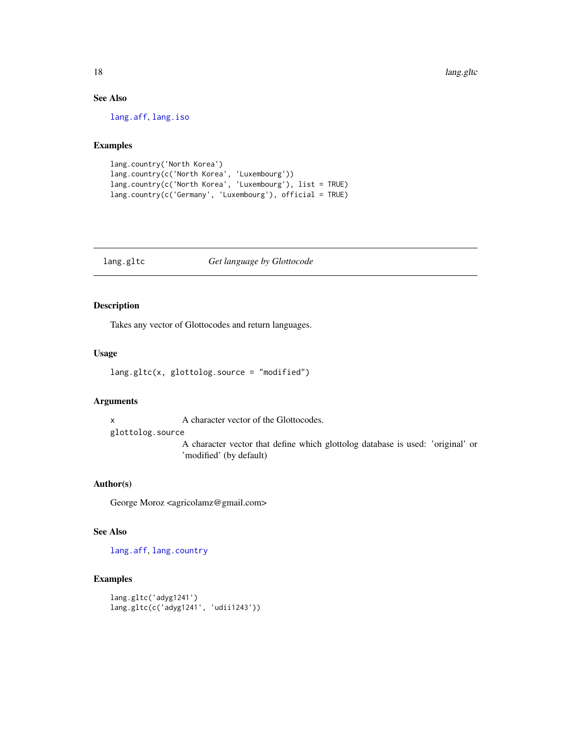#### See Also

[lang.aff](#page-15-2), [lang.iso](#page-18-2)

#### Examples

```
lang.country('North Korea')
lang.country(c('North Korea', 'Luxembourg'))
lang.country(c('North Korea', 'Luxembourg'), list = TRUE)
lang.country(c('Germany', 'Luxembourg'), official = TRUE)
```
#### lang.gltc *Get language by Glottocode*

#### Description

Takes any vector of Glottocodes and return languages.

#### Usage

```
lang.gltc(x, glottolog.source = "modified")
```
#### Arguments

x A character vector of the Glottocodes.

glottolog.source

A character vector that define which glottolog database is used: 'original' or 'modified' (by default)

#### Author(s)

George Moroz <agricolamz@gmail.com>

#### See Also

[lang.aff](#page-15-2), [lang.country](#page-16-1)

#### Examples

```
lang.gltc('adyg1241')
lang.gltc(c('adyg1241', 'udii1243'))
```
<span id="page-17-0"></span>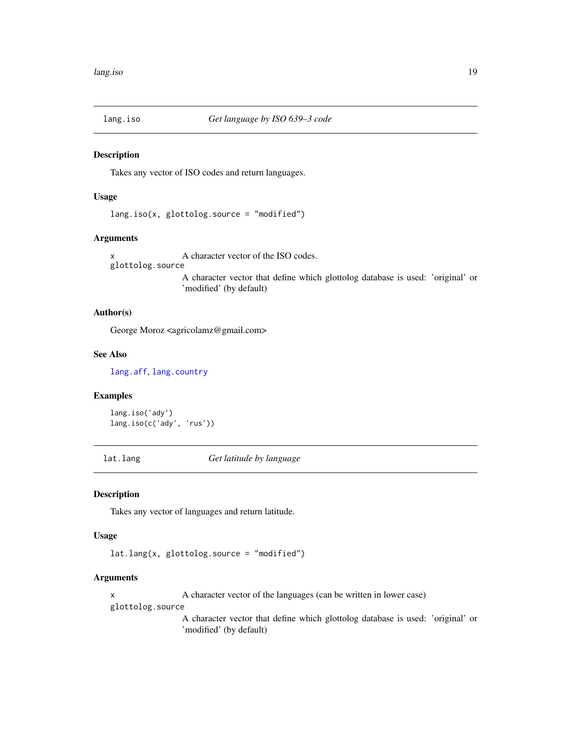<span id="page-18-2"></span><span id="page-18-0"></span>

Takes any vector of ISO codes and return languages.

#### Usage

lang.iso(x, glottolog.source = "modified")

#### Arguments

x A character vector of the ISO codes. glottolog.source A character vector that define which glottolog database is used: 'original' or 'modified' (by default)

#### Author(s)

George Moroz <agricolamz@gmail.com>

#### See Also

[lang.aff](#page-15-2), [lang.country](#page-16-1)

#### Examples

```
lang.iso('ady')
lang.iso(c('ady', 'rus'))
```
<span id="page-18-1"></span>lat.lang *Get latitude by language*

#### Description

Takes any vector of languages and return latitude.

#### Usage

lat.lang(x, glottolog.source = "modified")

#### Arguments

x A character vector of the languages (can be written in lower case)

glottolog.source

A character vector that define which glottolog database is used: 'original' or 'modified' (by default)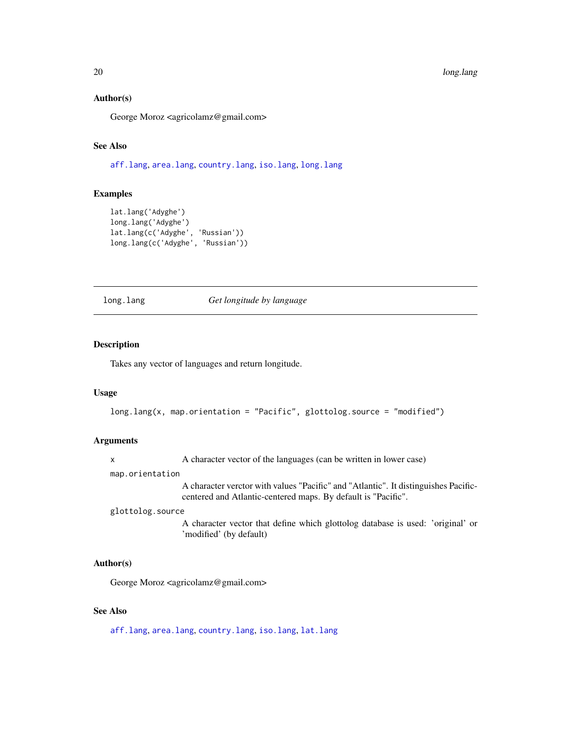#### Author(s)

George Moroz <agricolamz@gmail.com>

#### See Also

[aff.lang](#page-4-2), [area.lang](#page-4-1), [country.lang](#page-8-1), [iso.lang](#page-15-1), [long.lang](#page-19-1)

#### Examples

```
lat.lang('Adyghe')
long.lang('Adyghe')
lat.lang(c('Adyghe', 'Russian'))
long.lang(c('Adyghe', 'Russian'))
```
<span id="page-19-1"></span>long.lang *Get longitude by language*

#### Description

Takes any vector of languages and return longitude.

#### Usage

```
long.lang(x, map.orientation = "Pacific", glottolog.source = "modified")
```
#### Arguments

x A character vector of the languages (can be written in lower case)

map.orientation

A character verctor with values "Pacific" and "Atlantic". It distinguishes Pacificcentered and Atlantic-centered maps. By default is "Pacific".

#### glottolog.source

A character vector that define which glottolog database is used: 'original' or 'modified' (by default)

#### Author(s)

George Moroz <agricolamz@gmail.com>

#### See Also

[aff.lang](#page-4-2), [area.lang](#page-4-1), [country.lang](#page-8-1), [iso.lang](#page-15-1), [lat.lang](#page-18-1)

<span id="page-19-0"></span>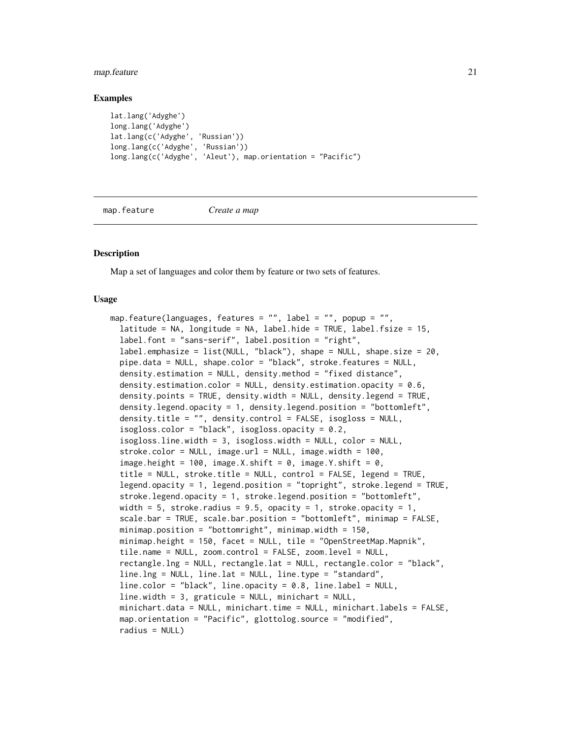#### <span id="page-20-0"></span>map.feature 21

#### Examples

```
lat.lang('Adyghe')
long.lang('Adyghe')
lat.lang(c('Adyghe', 'Russian'))
long.lang(c('Adyghe', 'Russian'))
long.lang(c('Adyghe', 'Aleut'), map.orientation = "Pacific")
```
map.feature *Create a map*

#### **Description**

Map a set of languages and color them by feature or two sets of features.

#### Usage

```
map.feature(languages, features = "", label = "", popup = "",
  latitude = NA, longitude = NA, label.hide = TRUE, label.fsize = 15,
  label.font = "sans-serif", label.position = "right",
  label.emphasize = list(NULL, "black"), shape = NULL, shape.size = 20,
  pipe.data = NULL, shape.color = "black", stroke.features = NULL,
  density.estimation = NULL, density.method = "fixed distance",
  density.estimation.color = NULL, density.estimation.opacity = 0.6,
  density.points = TRUE, density.width = NULL, density.legend = TRUE,
  density.legend.opacity = 1, density.legend.position = "bottomleft",
  density.title = ", density.control = FALSE, isogloss = NULL,
  isogloss.color = "black", isogloss.opacity = 0.2,
  isogloss.line.width = 3, isogloss.width = NULL, color = NULL,
  stroke.color = NULL, image.url = NULL, image.width = 100,
  image.height = 100, image.X.shift = 0, image.Y.shift = 0,
  title = NULL, stroke.title = NULL, control = FALSE, legend = TRUE,
  legend.opacity = 1, legend.position = "topright", stroke.legend = TRUE,
  stroke.legend.opacity = 1, stroke.legend.position = "bottomleft",
  width = 5, stroke.radius = 9.5, opacity = 1, stroke.opacity = 1,
  scale.bar = TRUE, scale.bar.position = "bottomleft", minimap = FALSE,
 minimap.position = "bottomright", minimap.width = 150,
 minimap.height = 150, facet = NULL, tile = "OpenStreetMap.Mapnik",
  tile.name = NULL, zoom.control = FALSE, zoom.level = NULL,
  rectangle.lng = NULL, rectangle.lat = NULL, rectangle.color = "black",
  line.lng = NULL, line.lat = NULL, line.type = "standard",
  line.color = "black", line.opacity = 0.8, line.label = NULL,
  line.width = 3, graticule = NULL, minichart = NULL,
  minichart.data = NULL, minichart.time = NULL, minichart.labels = FALSE,
 map.orientation = "Pacific", glottolog.source = "modified",
  radius = NULL)
```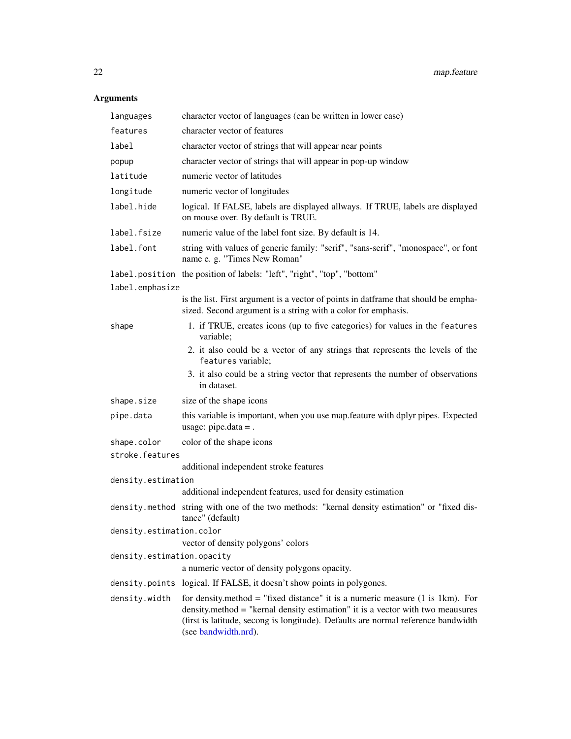### <span id="page-21-0"></span>Arguments

| languages                  | character vector of languages (can be written in lower case)                                                                                                                                                                                                                                      |
|----------------------------|---------------------------------------------------------------------------------------------------------------------------------------------------------------------------------------------------------------------------------------------------------------------------------------------------|
| features                   | character vector of features                                                                                                                                                                                                                                                                      |
| label                      | character vector of strings that will appear near points                                                                                                                                                                                                                                          |
| popup                      | character vector of strings that will appear in pop-up window                                                                                                                                                                                                                                     |
| latitude                   | numeric vector of latitudes                                                                                                                                                                                                                                                                       |
| longitude                  | numeric vector of longitudes                                                                                                                                                                                                                                                                      |
| label.hide                 | logical. If FALSE, labels are displayed allways. If TRUE, labels are displayed<br>on mouse over. By default is TRUE.                                                                                                                                                                              |
| label.fsize                | numeric value of the label font size. By default is 14.                                                                                                                                                                                                                                           |
| label.font                 | string with values of generic family: "serif", "sans-serif", "monospace", or font<br>name e. g. "Times New Roman"                                                                                                                                                                                 |
|                            | label.position the position of labels: "left", "right", "top", "bottom"                                                                                                                                                                                                                           |
| label.emphasize            |                                                                                                                                                                                                                                                                                                   |
|                            | is the list. First argument is a vector of points in datframe that should be empha-<br>sized. Second argument is a string with a color for emphasis.                                                                                                                                              |
| shape                      | 1. if TRUE, creates icons (up to five categories) for values in the features<br>variable;                                                                                                                                                                                                         |
|                            | 2. it also could be a vector of any strings that represents the levels of the<br>features variable;                                                                                                                                                                                               |
|                            | 3. it also could be a string vector that represents the number of observations<br>in dataset.                                                                                                                                                                                                     |
| shape.size                 | size of the shape icons                                                                                                                                                                                                                                                                           |
| pipe.data                  | this variable is important, when you use map. feature with dplyr pipes. Expected<br>usage: pipe.data = .                                                                                                                                                                                          |
| shape.color                | color of the shape icons                                                                                                                                                                                                                                                                          |
| stroke.features            |                                                                                                                                                                                                                                                                                                   |
|                            | additional independent stroke features                                                                                                                                                                                                                                                            |
| density.estimation         | additional independent features, used for density estimation                                                                                                                                                                                                                                      |
|                            | density.method string with one of the two methods: "kernal density estimation" or "fixed dis-                                                                                                                                                                                                     |
|                            | tance" (default)                                                                                                                                                                                                                                                                                  |
| density.estimation.color   |                                                                                                                                                                                                                                                                                                   |
|                            | vector of density polygons' colors                                                                                                                                                                                                                                                                |
| density.estimation.opacity | a numeric vector of density polygons opacity.                                                                                                                                                                                                                                                     |
|                            | density. points logical. If FALSE, it doesn't show points in polygones.                                                                                                                                                                                                                           |
|                            |                                                                                                                                                                                                                                                                                                   |
| density.width              | for density method = "fixed distance" it is a numeric measure $(1 \text{ is } 1 \text{ km})$ . For<br>density.method = "kernal density estimation" it is a vector with two meausures<br>(first is latitude, secong is longitude). Defaults are normal reference bandwidth<br>(see bandwidth.nrd). |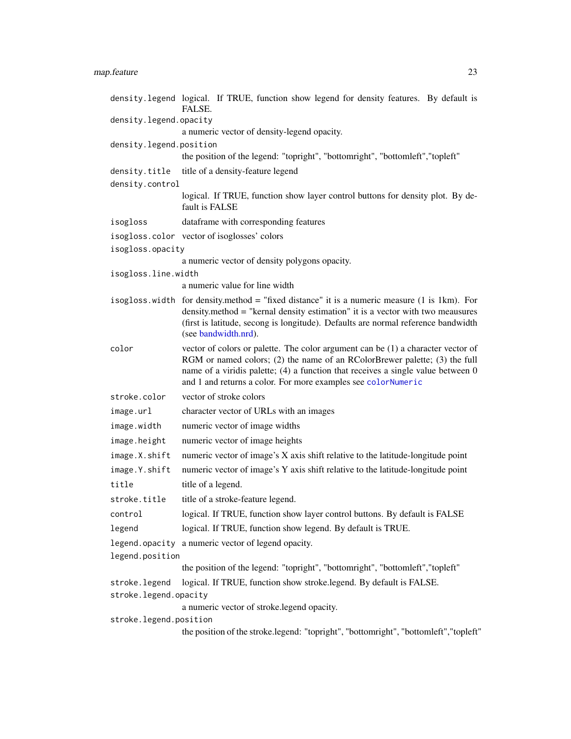### <span id="page-22-0"></span>map.feature 23

|                         | density.legend logical. If TRUE, function show legend for density features. By default is<br>FALSE.                                                                                                                                                                                                                 |
|-------------------------|---------------------------------------------------------------------------------------------------------------------------------------------------------------------------------------------------------------------------------------------------------------------------------------------------------------------|
| density.legend.opacity  |                                                                                                                                                                                                                                                                                                                     |
|                         | a numeric vector of density-legend opacity.                                                                                                                                                                                                                                                                         |
| density.legend.position |                                                                                                                                                                                                                                                                                                                     |
|                         | the position of the legend: "topright", "bottomright", "bottomleft","topleft"                                                                                                                                                                                                                                       |
| density.title           | title of a density-feature legend                                                                                                                                                                                                                                                                                   |
| density.control         |                                                                                                                                                                                                                                                                                                                     |
|                         | logical. If TRUE, function show layer control buttons for density plot. By de-<br>fault is FALSE                                                                                                                                                                                                                    |
| isogloss                | dataframe with corresponding features                                                                                                                                                                                                                                                                               |
|                         | isogloss.color vector of isoglosses' colors                                                                                                                                                                                                                                                                         |
| isogloss.opacity        |                                                                                                                                                                                                                                                                                                                     |
|                         | a numeric vector of density polygons opacity.                                                                                                                                                                                                                                                                       |
| isogloss.line.width     |                                                                                                                                                                                                                                                                                                                     |
|                         | a numeric value for line width                                                                                                                                                                                                                                                                                      |
|                         | isogloss width for density method = "fixed distance" it is a numeric measure (1 is 1km). For<br>density.method = "kernal density estimation" it is a vector with two meausures<br>(first is latitude, secong is longitude). Defaults are normal reference bandwidth<br>(see bandwidth.nrd).                         |
| color                   | vector of colors or palette. The color argument can be (1) a character vector of<br>RGM or named colors; (2) the name of an RColorBrewer palette; (3) the full<br>name of a viridis palette; (4) a function that receives a single value between 0<br>and 1 and returns a color. For more examples see colorNumeric |
| stroke.color            | vector of stroke colors                                                                                                                                                                                                                                                                                             |
| image.url               | character vector of URLs with an images                                                                                                                                                                                                                                                                             |
| image.width             | numeric vector of image widths                                                                                                                                                                                                                                                                                      |
| image.height            | numeric vector of image heights                                                                                                                                                                                                                                                                                     |
| image.X.shift           | numeric vector of image's X axis shift relative to the latitude-longitude point                                                                                                                                                                                                                                     |
| image.Y.shift           | numeric vector of image's Y axis shift relative to the latitude-longitude point                                                                                                                                                                                                                                     |
| title                   | title of a legend.                                                                                                                                                                                                                                                                                                  |
| stroke.title            | title of a stroke-feature legend.                                                                                                                                                                                                                                                                                   |
| control                 | logical. If TRUE, function show layer control buttons. By default is FALSE                                                                                                                                                                                                                                          |
| legend                  | logical. If TRUE, function show legend. By default is TRUE.                                                                                                                                                                                                                                                         |
| legend.position         | legend. opacity a numeric vector of legend opacity.                                                                                                                                                                                                                                                                 |
|                         | the position of the legend: "topright", "bottomright", "bottomleft","topleft"                                                                                                                                                                                                                                       |
| stroke.legend           | logical. If TRUE, function show stroke.legend. By default is FALSE.                                                                                                                                                                                                                                                 |
| stroke.legend.opacity   |                                                                                                                                                                                                                                                                                                                     |
|                         | a numeric vector of stroke.legend opacity.                                                                                                                                                                                                                                                                          |
| stroke.legend.position  |                                                                                                                                                                                                                                                                                                                     |
|                         |                                                                                                                                                                                                                                                                                                                     |

the position of the stroke.legend: "topright", "bottomright", "bottomleft","topleft"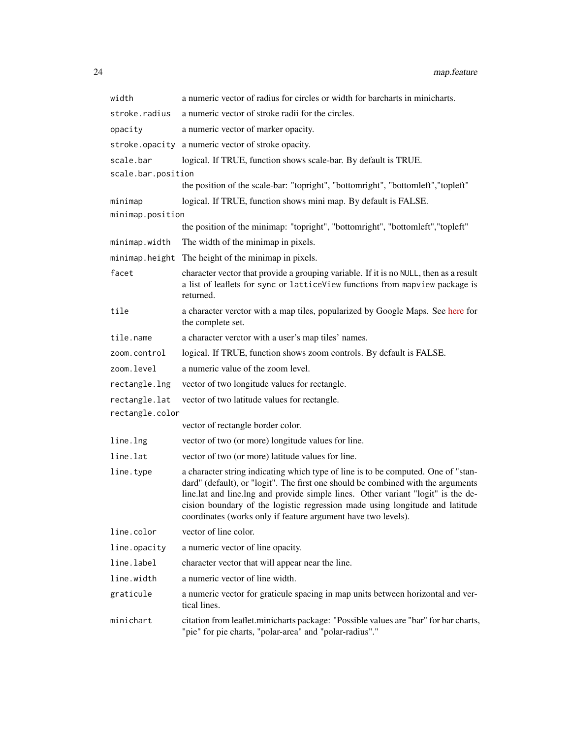| width              | a numeric vector of radius for circles or width for barcharts in minicharts.                                                                                                                                                                                                                                                                                                                               |
|--------------------|------------------------------------------------------------------------------------------------------------------------------------------------------------------------------------------------------------------------------------------------------------------------------------------------------------------------------------------------------------------------------------------------------------|
| stroke.radius      | a numeric vector of stroke radii for the circles.                                                                                                                                                                                                                                                                                                                                                          |
| opacity            | a numeric vector of marker opacity.                                                                                                                                                                                                                                                                                                                                                                        |
| stroke.opacity     | a numeric vector of stroke opacity.                                                                                                                                                                                                                                                                                                                                                                        |
| scale.bar          | logical. If TRUE, function shows scale-bar. By default is TRUE.                                                                                                                                                                                                                                                                                                                                            |
| scale.bar.position |                                                                                                                                                                                                                                                                                                                                                                                                            |
|                    | the position of the scale-bar: "topright", "bottomright", "bottomleft","topleft"                                                                                                                                                                                                                                                                                                                           |
| minimap            | logical. If TRUE, function shows mini map. By default is FALSE.                                                                                                                                                                                                                                                                                                                                            |
| minimap.position   | the position of the minimap: "topright", "bottomright", "bottomleft", "topleft"                                                                                                                                                                                                                                                                                                                            |
| minimap.width      | The width of the minimap in pixels.                                                                                                                                                                                                                                                                                                                                                                        |
| minimap.height     | The height of the minimap in pixels.                                                                                                                                                                                                                                                                                                                                                                       |
| facet              | character vector that provide a grouping variable. If it is no NULL, then as a result                                                                                                                                                                                                                                                                                                                      |
|                    | a list of leaflets for sync or latticeView functions from mapview package is<br>returned.                                                                                                                                                                                                                                                                                                                  |
| tile               | a character verctor with a map tiles, popularized by Google Maps. See here for<br>the complete set.                                                                                                                                                                                                                                                                                                        |
| tile.name          | a character verctor with a user's map tiles' names.                                                                                                                                                                                                                                                                                                                                                        |
| zoom.control       | logical. If TRUE, function shows zoom controls. By default is FALSE.                                                                                                                                                                                                                                                                                                                                       |
| zoom.level         | a numeric value of the zoom level.                                                                                                                                                                                                                                                                                                                                                                         |
| rectangle.lng      | vector of two longitude values for rectangle.                                                                                                                                                                                                                                                                                                                                                              |
| rectangle.lat      | vector of two latitude values for rectangle.                                                                                                                                                                                                                                                                                                                                                               |
| rectangle.color    |                                                                                                                                                                                                                                                                                                                                                                                                            |
|                    | vector of rectangle border color.                                                                                                                                                                                                                                                                                                                                                                          |
| line.lng           | vector of two (or more) longitude values for line.                                                                                                                                                                                                                                                                                                                                                         |
| line.lat           | vector of two (or more) latitude values for line.                                                                                                                                                                                                                                                                                                                                                          |
| line.type          | a character string indicating which type of line is to be computed. One of "stan-<br>dard" (default), or "logit". The first one should be combined with the arguments<br>line.lat and line.lng and provide simple lines. Other variant "logit" is the de-<br>cision boundary of the logistic regression made using longitude and latitude<br>coordinates (works only if feature argument have two levels). |
| line.color         | vector of line color.                                                                                                                                                                                                                                                                                                                                                                                      |
| line.opacity       | a numeric vector of line opacity.                                                                                                                                                                                                                                                                                                                                                                          |
| line.label         | character vector that will appear near the line.                                                                                                                                                                                                                                                                                                                                                           |
| line.width         | a numeric vector of line width.                                                                                                                                                                                                                                                                                                                                                                            |
| graticule          | a numeric vector for graticule spacing in map units between horizontal and ver-<br>tical lines.                                                                                                                                                                                                                                                                                                            |
| minichart          | citation from leaflet.minicharts package: "Possible values are "bar" for bar charts,<br>"pie" for pie charts, "polar-area" and "polar-radius"."                                                                                                                                                                                                                                                            |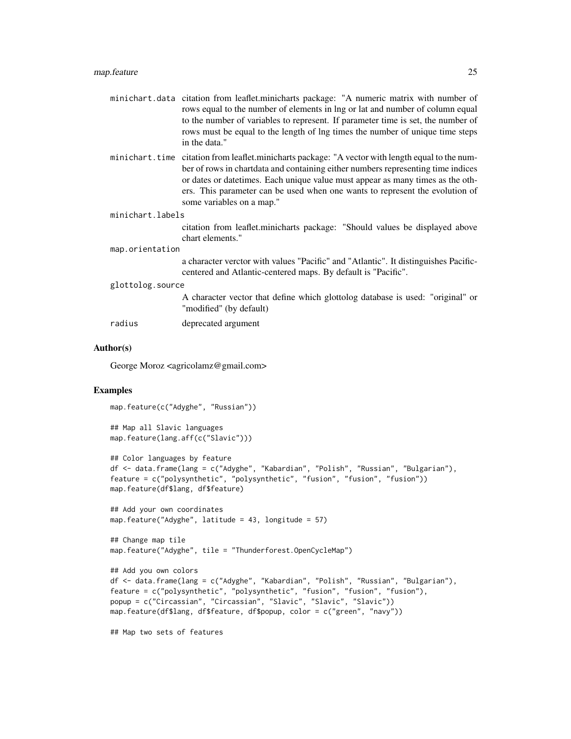| minichart.data citation from leaflet.minicharts package: "A numeric matrix with number of |
|-------------------------------------------------------------------------------------------|
| rows equal to the number of elements in lng or lat and number of column equal             |
| to the number of variables to represent. If parameter time is set, the number of          |
| rows must be equal to the length of lng times the number of unique time steps             |
| in the data."                                                                             |

minichart.time citation from leaflet.minicharts package: "A vector with length equal to the number of rows in chartdata and containing either numbers representing time indices or dates or datetimes. Each unique value must appear as many times as the others. This parameter can be used when one wants to represent the evolution of some variables on a map."

```
minichart.labels
```
citation from leaflet.minicharts package: "Should values be displayed above chart elements."

#### map.orientation

a character verctor with values "Pacific" and "Atlantic". It distinguishes Pacificcentered and Atlantic-centered maps. By default is "Pacific".

```
glottolog.source
```
A character vector that define which glottolog database is used: "original" or "modified" (by default)

| deprecated argument |  |
|---------------------|--|
|                     |  |

#### Author(s)

George Moroz <agricolamz@gmail.com>

#### Examples

map.feature(c("Adyghe", "Russian"))

```
## Map all Slavic languages
map.feature(lang.aff(c("Slavic")))
```

```
## Color languages by feature
df <- data.frame(lang = c("Adyghe", "Kabardian", "Polish", "Russian", "Bulgarian"),
feature = c("polysynthetic", "polysynthetic", "fusion", "fusion", "fusion"))
map.feature(df$lang, df$feature)
```

```
## Add your own coordinates
map.feature("Adyghe", latitude = 43, longitude = 57)
```

```
## Change map tile
map.feature("Adyghe", tile = "Thunderforest.OpenCycleMap")
```

```
## Add you own colors
df <- data.frame(lang = c("Adyghe", "Kabardian", "Polish", "Russian", "Bulgarian"),
feature = c("polysynthetic", "polysynthetic", "fusion", "fusion", "fusion"),
popup = c("Circassian", "Circassian", "Slavic", "Slavic", "Slavic"))
map.feature(df$lang, df$feature, df$popup, color = c("green", "navy"))
```
## Map two sets of features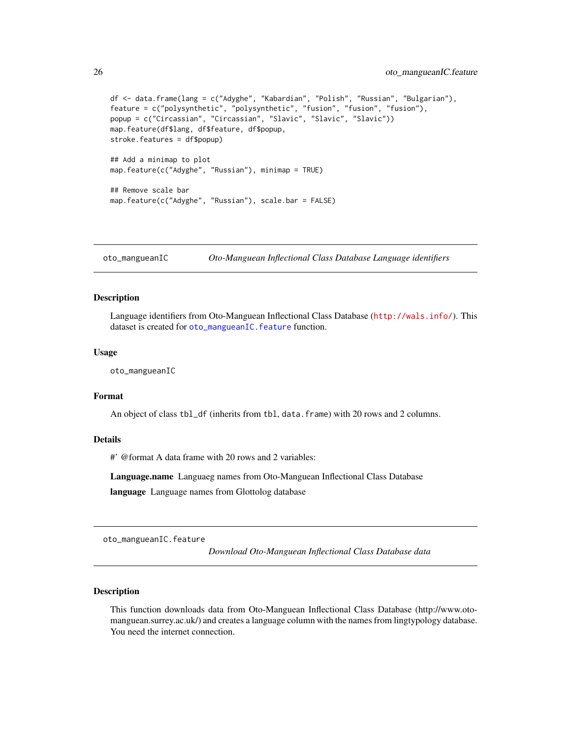```
df <- data.frame(lang = c("Adyghe", "Kabardian", "Polish", "Russian", "Bulgarian"),
feature = c("polysynthetic", "polysynthetic", "fusion", "fusion", "fusion"),
popup = c("Circassian", "Circassian", "Slavic", "Slavic", "Slavic"))
map.feature(df$lang, df$feature, df$popup,
stroke.features = df$popup)
## Add a minimap to plot
map.feature(c("Adyghe", "Russian"), minimap = TRUE)
## Remove scale bar
map.feature(c("Adyghe", "Russian"), scale.bar = FALSE)
```
oto\_mangueanIC *Oto-Manguean Inflectional Class Database Language identifiers*

#### Description

Language identifiers from Oto-Manguean Inflectional Class Database (<http://wals.info/>). This dataset is created for [oto\\_mangueanIC.feature](#page-25-1) function.

#### Usage

oto\_mangueanIC

#### Format

An object of class tbl\_df (inherits from tbl, data.frame) with 20 rows and 2 columns.

#### Details

#' @format A data frame with 20 rows and 2 variables:

Language.name Languaeg names from Oto-Manguean Inflectional Class Database language Language names from Glottolog database

<span id="page-25-1"></span>oto\_mangueanIC.feature

*Download Oto-Manguean Inflectional Class Database data*

#### Description

This function downloads data from Oto-Manguean Inflectional Class Database (http://www.otomanguean.surrey.ac.uk/) and creates a language column with the names from lingtypology database. You need the internet connection.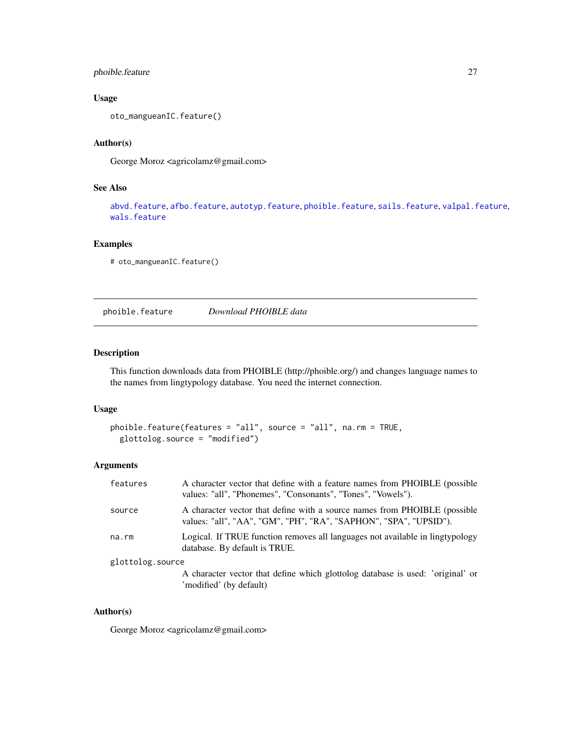#### <span id="page-26-0"></span>phoible.feature 27

#### Usage

oto\_mangueanIC.feature()

#### Author(s)

George Moroz <agricolamz@gmail.com>

#### See Also

[abvd.feature](#page-2-1), [afbo.feature](#page-3-1), [autotyp.feature](#page-6-1), [phoible.feature](#page-26-1), [sails.feature](#page-28-1), [valpal.feature](#page-30-1), [wals.feature](#page-31-1)

#### Examples

# oto\_mangueanIC.feature()

<span id="page-26-1"></span>phoible.feature *Download PHOIBLE data*

#### Description

This function downloads data from PHOIBLE (http://phoible.org/) and changes language names to the names from lingtypology database. You need the internet connection.

#### Usage

```
phoible.feature(features = "all", source = "all", na.rm = TRUE,
 glottolog.source = "modified")
```
#### Arguments

| features         | A character vector that define with a feature names from PHOIBLE (possible<br>values: "all", "Phonemes", "Consonants", "Tones", "Vowels").     |
|------------------|------------------------------------------------------------------------------------------------------------------------------------------------|
| source           | A character vector that define with a source names from PHOIBLE (possible<br>values: "all", "AA", "GM", "PH", "RA", "SAPHON", "SPA", "UPSID"). |
| na.rm            | Logical. If TRUE function removes all languages not available in lingtypology<br>database. By default is TRUE.                                 |
| glottolog.source |                                                                                                                                                |
|                  | A character vector that define which glottolog database is used: 'original' or<br>'modified' (by default)                                      |

#### Author(s)

George Moroz <agricolamz@gmail.com>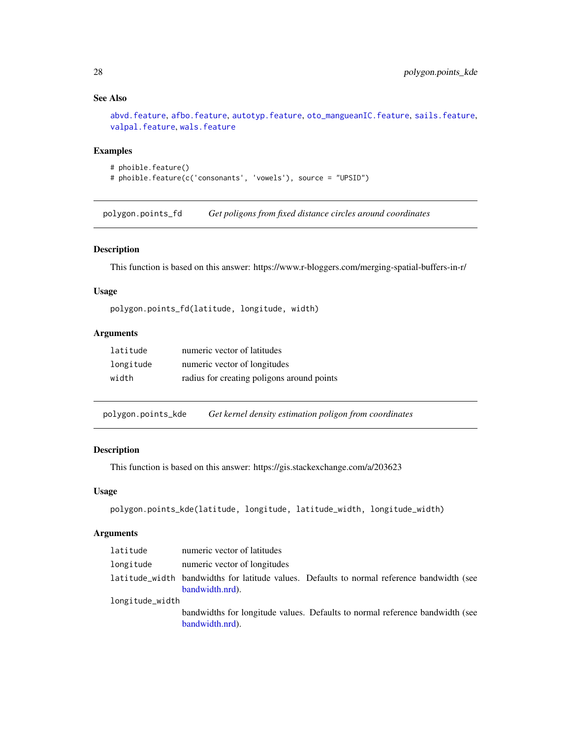#### See Also

[abvd.feature](#page-2-1), [afbo.feature](#page-3-1), [autotyp.feature](#page-6-1), [oto\\_mangueanIC.feature](#page-25-1), [sails.feature](#page-28-1), [valpal.feature](#page-30-1), [wals.feature](#page-31-1)

#### Examples

```
# phoible.feature()
# phoible.feature(c('consonants', 'vowels'), source = "UPSID")
```
polygon.points\_fd *Get poligons from fixed distance circles around coordinates*

#### Description

This function is based on this answer: https://www.r-bloggers.com/merging-spatial-buffers-in-r/

#### Usage

polygon.points\_fd(latitude, longitude, width)

#### Arguments

| latitude  | numeric vector of latitudes                |
|-----------|--------------------------------------------|
| longitude | numeric vector of longitudes               |
| width     | radius for creating poligons around points |

polygon.points\_kde *Get kernel density estimation poligon from coordinates*

#### Description

This function is based on this answer: https://gis.stackexchange.com/a/203623

#### Usage

```
polygon.points_kde(latitude, longitude, latitude_width, longitude_width)
```
#### Arguments

| latitude        | numeric vector of latitudes                                                                                   |
|-----------------|---------------------------------------------------------------------------------------------------------------|
| longitude       | numeric vector of longitudes                                                                                  |
|                 | latitude_width bandwidths for latitude values. Defaults to normal reference bandwidth (see<br>bandwidth.nrd). |
| longitude_width |                                                                                                               |
|                 | bandwidths for longitude values. Defaults to normal reference bandwidth (see<br>bandwidth.nrd).               |

<span id="page-27-0"></span>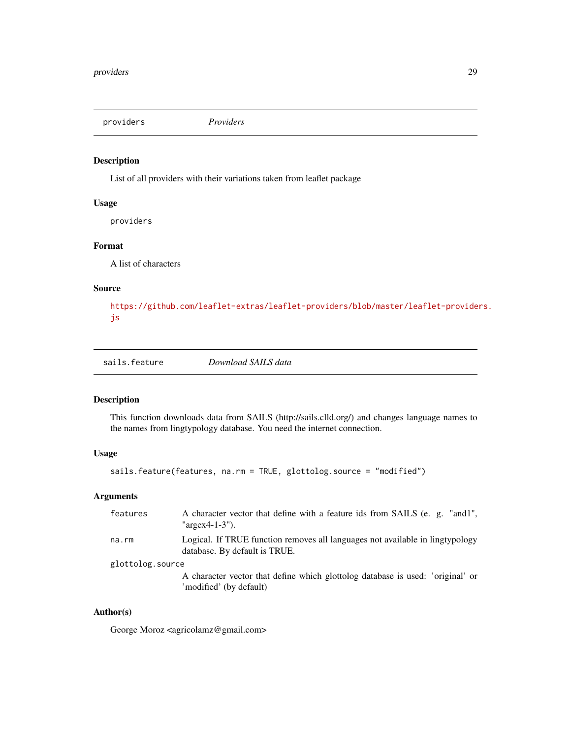<span id="page-28-0"></span>providers *Providers*

#### Description

List of all providers with their variations taken from leaflet package

#### Usage

providers

#### Format

A list of characters

#### Source

[https://github.com/leaflet-extras/leaflet-providers/blob/master/leaflet-provide](https://github.com/leaflet-extras/leaflet-providers/blob/master/leaflet-providers.js)rs. [js](https://github.com/leaflet-extras/leaflet-providers/blob/master/leaflet-providers.js)

<span id="page-28-1"></span>sails.feature *Download SAILS data*

#### Description

This function downloads data from SAILS (http://sails.clld.org/) and changes language names to the names from lingtypology database. You need the internet connection.

#### Usage

sails.feature(features, na.rm = TRUE, glottolog.source = "modified")

#### Arguments

| features         | A character vector that define with a feature ids from SAILS (e. g. "and1",<br>" $\arg\exp(-1.3)$ ").          |
|------------------|----------------------------------------------------------------------------------------------------------------|
| na.rm            | Logical. If TRUE function removes all languages not available in lingtypology<br>database. By default is TRUE. |
| glottolog.source |                                                                                                                |
|                  | A character vector that define which glottolog database is used: 'original' or<br>'modified' (by default)      |

#### Author(s)

George Moroz <agricolamz@gmail.com>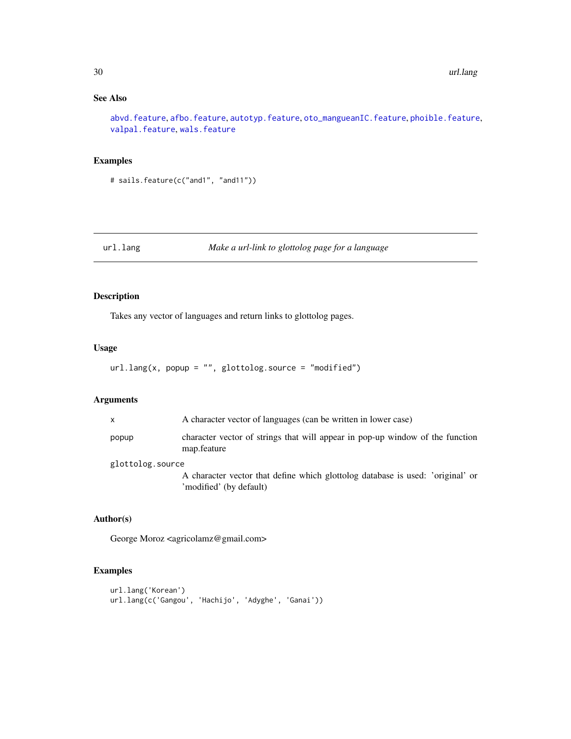#### See Also

[abvd.feature](#page-2-1), [afbo.feature](#page-3-1), [autotyp.feature](#page-6-1), [oto\\_mangueanIC.feature](#page-25-1), [phoible.feature](#page-26-1), [valpal.feature](#page-30-1), [wals.feature](#page-31-1)

#### Examples

```
# sails.feature(c("and1", "and11"))
```
#### url.lang *Make a url-link to glottolog page for a language*

#### Description

Takes any vector of languages and return links to glottolog pages.

#### Usage

```
url.lang(x, popup = "", glottolog.source = "modified")
```
#### Arguments

| X                | A character vector of languages (can be written in lower case)                                            |
|------------------|-----------------------------------------------------------------------------------------------------------|
| popup            | character vector of strings that will appear in pop-up window of the function<br>map.feature              |
| glottolog.source |                                                                                                           |
|                  | A character vector that define which glottolog database is used: 'original' or<br>'modified' (by default) |

#### Author(s)

George Moroz <agricolamz@gmail.com>

#### Examples

```
url.lang('Korean')
url.lang(c('Gangou', 'Hachijo', 'Adyghe', 'Ganai'))
```
<span id="page-29-0"></span>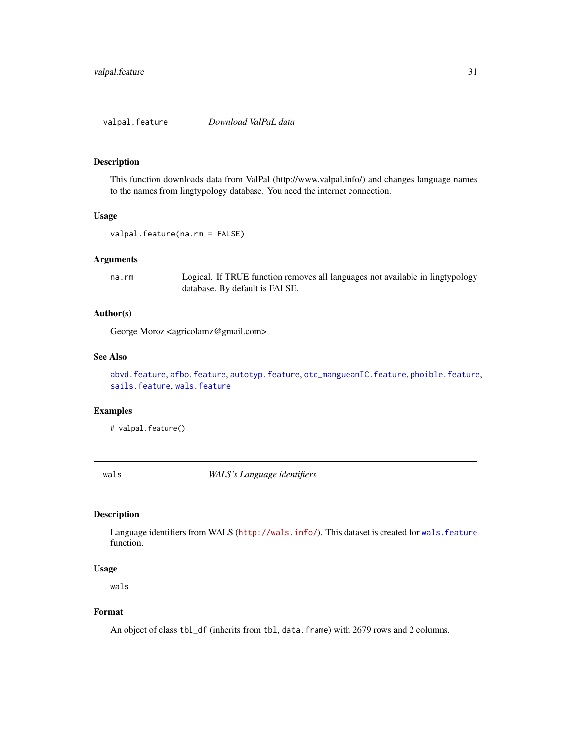<span id="page-30-1"></span><span id="page-30-0"></span>valpal.feature *Download ValPaL data*

#### Description

This function downloads data from ValPal (http://www.valpal.info/) and changes language names to the names from lingtypology database. You need the internet connection.

#### Usage

```
valpal.feature(na.rm = FALSE)
```
#### Arguments

na.rm Logical. If TRUE function removes all languages not available in lingtypology database. By default is FALSE.

#### Author(s)

George Moroz <agricolamz@gmail.com>

#### See Also

[abvd.feature](#page-2-1), [afbo.feature](#page-3-1), [autotyp.feature](#page-6-1), [oto\\_mangueanIC.feature](#page-25-1), [phoible.feature](#page-26-1), [sails.feature](#page-28-1), [wals.feature](#page-31-1)

#### Examples

# valpal.feature()

wals *WALS's Language identifiers*

#### Description

Language identifiers from WALS (<http://wals.info/>). This dataset is created for [wals.feature](#page-31-1) function.

#### Usage

wals

#### Format

An object of class tbl\_df (inherits from tbl, data. frame) with 2679 rows and 2 columns.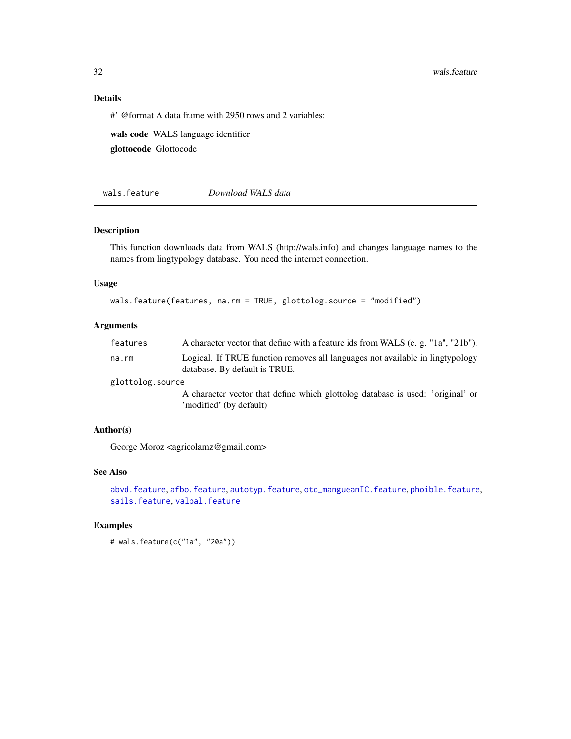32 wals.feature

#### Details

#' @format A data frame with 2950 rows and 2 variables:

wals code WALS language identifier

glottocode Glottocode

<span id="page-31-1"></span>wals.feature *Download WALS data*

#### Description

This function downloads data from WALS (http://wals.info) and changes language names to the names from lingtypology database. You need the internet connection.

#### Usage

```
wals.feature(features, na.rm = TRUE, glottolog.source = "modified")
```
#### Arguments

| features         | A character vector that define with a feature ids from WALS (e. g. "1a", "21b").                               |
|------------------|----------------------------------------------------------------------------------------------------------------|
| na.rm            | Logical. If TRUE function removes all languages not available in lingtypology<br>database. By default is TRUE. |
| glottolog.source |                                                                                                                |
|                  | A character vector that define which glottolog database is used: 'original' or<br>'modified' (by default)      |

#### Author(s)

George Moroz <agricolamz@gmail.com>

#### See Also

[abvd.feature](#page-2-1), [afbo.feature](#page-3-1), [autotyp.feature](#page-6-1), [oto\\_mangueanIC.feature](#page-25-1), [phoible.feature](#page-26-1), [sails.feature](#page-28-1), [valpal.feature](#page-30-1)

#### Examples

# wals.feature(c("1a", "20a"))

<span id="page-31-0"></span>